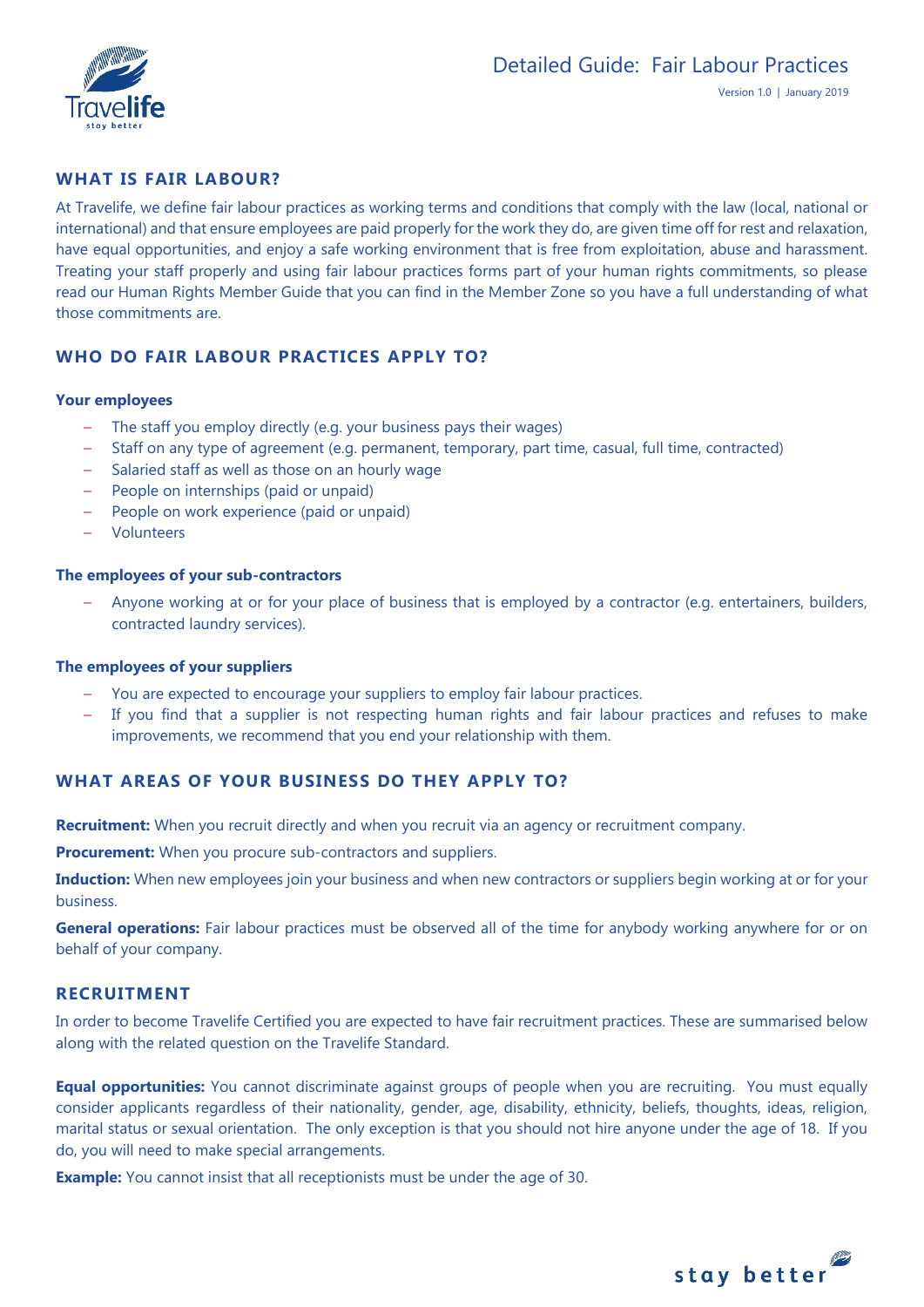

# **WHAT IS FAIR LABOUR?**

At Travelife, we define fair labour practices as working terms and conditions that comply with the law (local, national or international) and that ensure employees are paid properly for the work they do, are given time off for rest and relaxation, have equal opportunities, and enjoy a safe working environment that is free from exploitation, abuse and harassment. Treating your staff properly and using fair labour practices forms part of your human rights commitments, so please read our Human Rights Member Guide that you can find in the Member Zone so you have a full understanding of what those commitments are.

# **WHO DO FAIR LABOUR PRACTICES APPLY TO?**

#### **Your employees**

- The staff you employ directly (e.g. your business pays their wages)
- Staff on any type of agreement (e.g. permanent, temporary, part time, casual, full time, contracted)
- Salaried staff as well as those on an hourly wage
- People on internships (paid or unpaid)
- People on work experience (paid or unpaid)
- Volunteers

#### **The employees of your sub-contractors**

– Anyone working at or for your place of business that is employed by a contractor (e.g. entertainers, builders, contracted laundry services).

#### **The employees of your suppliers**

- You are expected to encourage your suppliers to employ fair labour practices.
- If you find that a supplier is not respecting human rights and fair labour practices and refuses to make improvements, we recommend that you end your relationship with them.

# **WHAT AREAS OF YOUR BUSINESS DO THEY APPLY TO?**

**Recruitment:** When you recruit directly and when you recruit via an agency or recruitment company.

**Procurement:** When you procure sub-contractors and suppliers.

**Induction:** When new employees join your business and when new contractors or suppliers begin working at or for your business.

**General operations:** Fair labour practices must be observed all of the time for anybody working anywhere for or on behalf of your company.

#### **RECRUITMENT**

In order to become Travelife Certified you are expected to have fair recruitment practices. These are summarised below along with the related question on the Travelife Standard.

**Equal opportunities:** You cannot discriminate against groups of people when you are recruiting. You must equally consider applicants regardless of their nationality, gender, age, disability, ethnicity, beliefs, thoughts, ideas, religion, marital status or sexual orientation. The only exception is that you should not hire anyone under the age of 18. If you do, you will need to make special arrangements.

**Example:** You cannot insist that all receptionists must be under the age of 30.

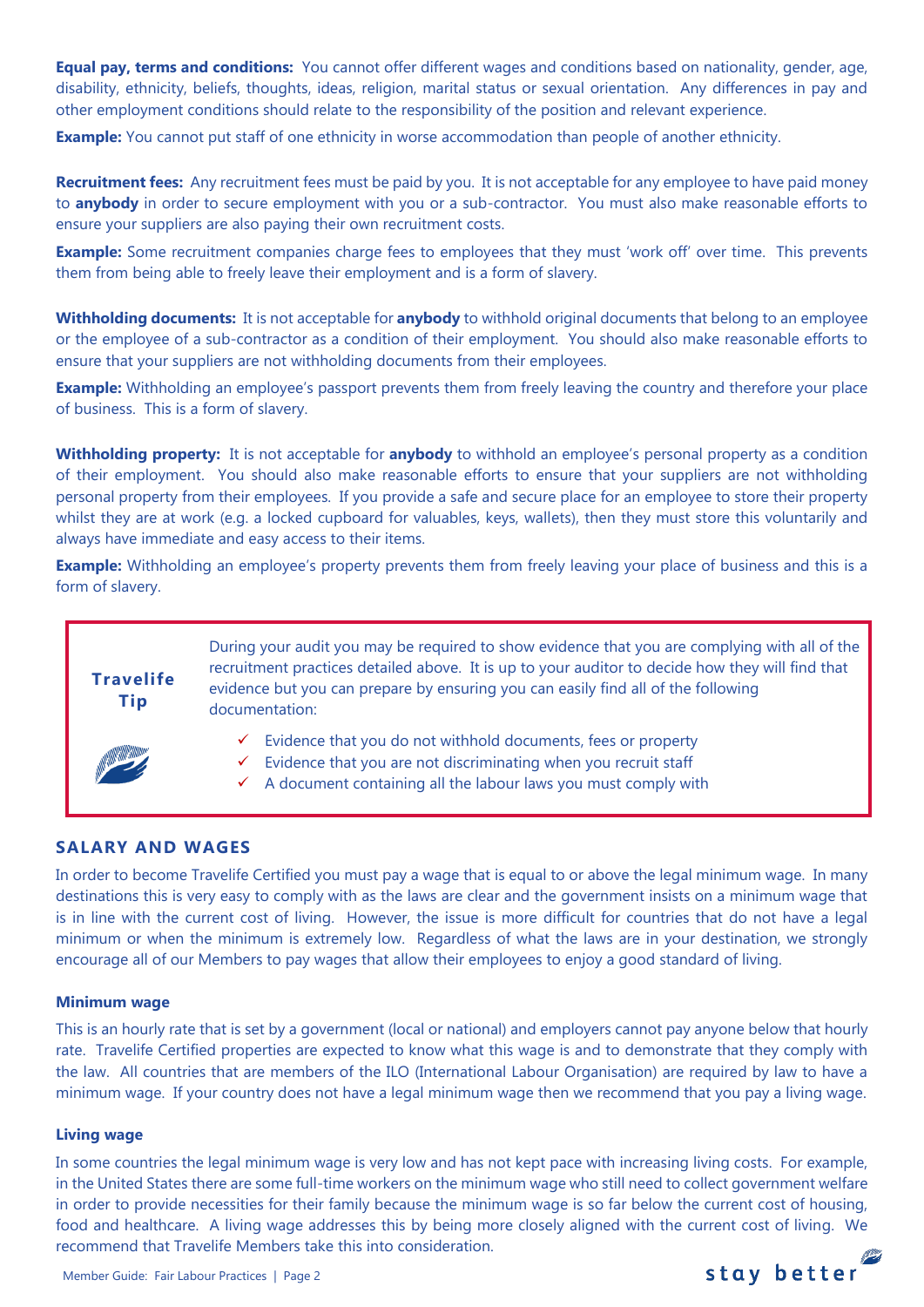**Equal pay, terms and conditions:** You cannot offer different wages and conditions based on nationality, gender, age, disability, ethnicity, beliefs, thoughts, ideas, religion, marital status or sexual orientation. Any differences in pay and other employment conditions should relate to the responsibility of the position and relevant experience.

**Example:** You cannot put staff of one ethnicity in worse accommodation than people of another ethnicity.

**Recruitment fees:** Any recruitment fees must be paid by you. It is not acceptable for any employee to have paid money to **anybody** in order to secure employment with you or a sub-contractor. You must also make reasonable efforts to ensure your suppliers are also paying their own recruitment costs.

**Example:** Some recruitment companies charge fees to employees that they must 'work off' over time. This prevents them from being able to freely leave their employment and is a form of slavery.

**Withholding documents:** It is not acceptable for **anybody** to withhold original documents that belong to an employee or the employee of a sub-contractor as a condition of their employment. You should also make reasonable efforts to ensure that your suppliers are not withholding documents from their employees.

**Example:** Withholding an employee's passport prevents them from freely leaving the country and therefore your place of business. This is a form of slavery.

**Withholding property:** It is not acceptable for **anybody** to withhold an employee's personal property as a condition of their employment. You should also make reasonable efforts to ensure that your suppliers are not withholding personal property from their employees. If you provide a safe and secure place for an employee to store their property whilst they are at work (e.g. a locked cupboard for valuables, keys, wallets), then they must store this voluntarily and always have immediate and easy access to their items.

**Example:** Withholding an employee's property prevents them from freely leaving your place of business and this is a form of slavery.

# During your audit you may be required to show evidence that you are complying with all of the recruitment practices detailed above. It is up to your auditor to decide how they will find that evidence but you can prepare by ensuring you can easily find all of the following documentation:

- ✓ Evidence that you do not withhold documents, fees or property
- $\checkmark$  Evidence that you are not discriminating when you recruit staff
- $\checkmark$  A document containing all the labour laws you must comply with

# **SALARY AND WAGES**

**Travelife Tip**

In order to become Travelife Certified you must pay a wage that is equal to or above the legal minimum wage. In many destinations this is very easy to comply with as the laws are clear and the government insists on a minimum wage that is in line with the current cost of living. However, the issue is more difficult for countries that do not have a legal minimum or when the minimum is extremely low. Regardless of what the laws are in your destination, we strongly encourage all of our Members to pay wages that allow their employees to enjoy a good standard of living.

#### **Minimum wage**

This is an hourly rate that is set by a government (local or national) and employers cannot pay anyone below that hourly rate. Travelife Certified properties are expected to know what this wage is and to demonstrate that they comply with the law. All countries that are members of the ILO (International Labour Organisation) are required by law to have a minimum wage. If your country does not have a legal minimum wage then we recommend that you pay a living wage.

#### **Living wage**

In some countries the legal minimum wage is very low and has not kept pace with increasing living costs. For example, in the United States there are some full-time workers on the minimum wage who still need to collect government welfare in order to provide necessities for their family because the minimum wage is so far below the current cost of housing, food and healthcare. A living wage addresses this by being more closely aligned with the current cost of living. We recommend that Travelife Members take this into consideration.

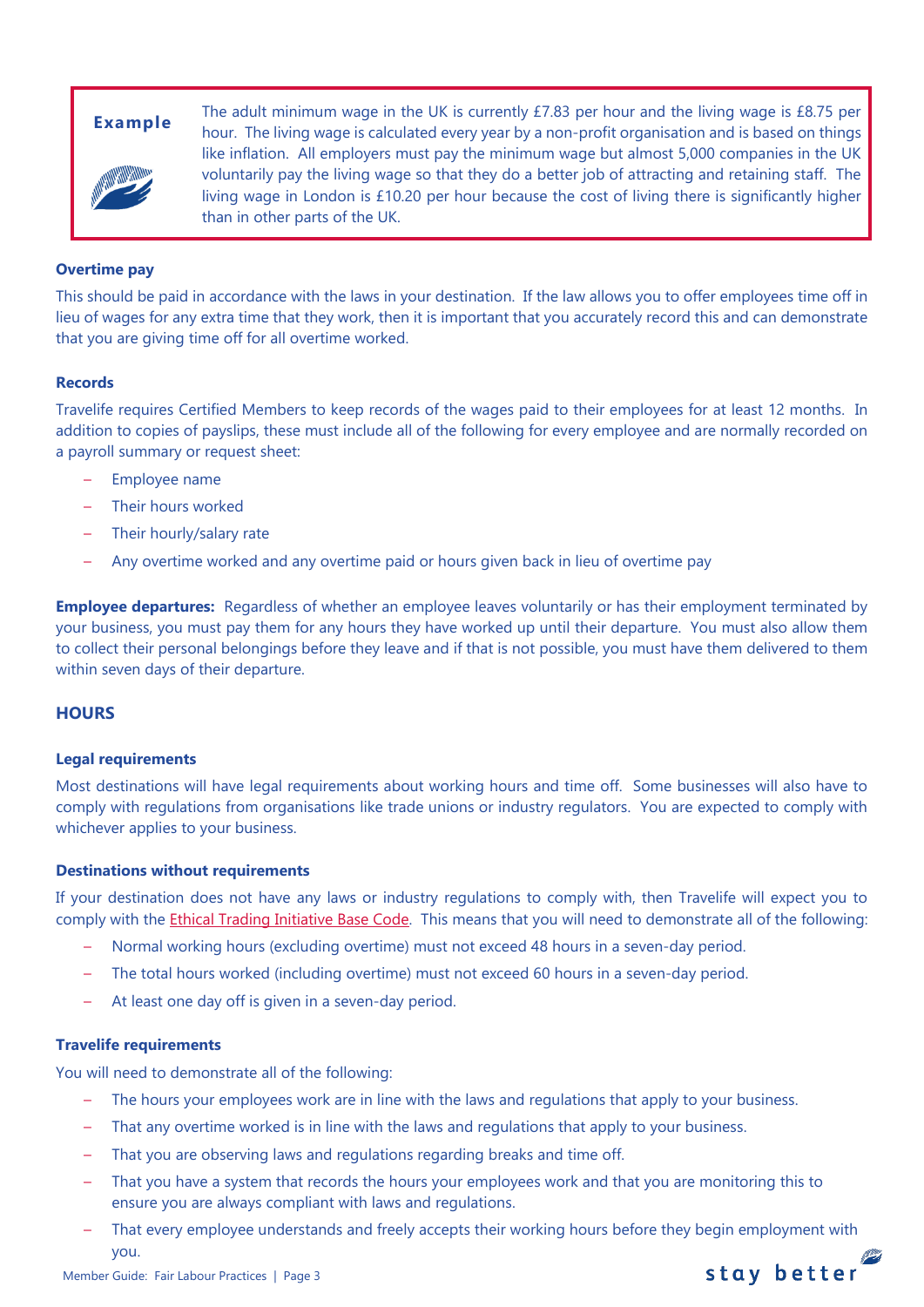

**Example** The adult minimum wage in the UK is currently £7.83 per hour and the living wage is £8.75 per **Example** hour. The living wage is calculated every year by a non-profit organisation and is based on things like inflation. All employers must pay the minimum wage but almost 5,000 companies in the UK voluntarily pay the living wage so that they do a better job of attracting and retaining staff. The living wage in London is £10.20 per hour because the cost of living there is significantly higher than in other parts of the UK.

# **Overtime pay**

This should be paid in accordance with the laws in your destination. If the law allows you to offer employees time off in lieu of wages for any extra time that they work, then it is important that you accurately record this and can demonstrate that you are giving time off for all overtime worked.

#### **Records**

Travelife requires Certified Members to keep records of the wages paid to their employees for at least 12 months. In addition to copies of payslips, these must include all of the following for every employee and are normally recorded on a payroll summary or request sheet:

- Employee name
- Their hours worked
- Their hourly/salary rate
- Any overtime worked and any overtime paid or hours given back in lieu of overtime pay

**Employee departures:** Regardless of whether an employee leaves voluntarily or has their employment terminated by your business, you must pay them for any hours they have worked up until their departure. You must also allow them to collect their personal belongings before they leave and if that is not possible, you must have them delivered to them within seven days of their departure.

# **HOURS**

#### **Legal requirements**

Most destinations will have legal requirements about working hours and time off. Some businesses will also have to comply with regulations from organisations like trade unions or industry regulators. You are expected to comply with whichever applies to your business.

#### **Destinations without requirements**

If your destination does not have any laws or industry regulations to comply with, then Travelife will expect you to comply with the **Ethical Trading Initiative Base Code**. This means that you will need to demonstrate all of the following:

- Normal working hours (excluding overtime) must not exceed 48 hours in a seven-day period.
- The total hours worked (including overtime) must not exceed 60 hours in a seven-day period.
- At least one day off is given in a seven-day period.

#### **Travelife requirements**

You will need to demonstrate all of the following:

- The hours your employees work are in line with the laws and regulations that apply to your business.
- That any overtime worked is in line with the laws and regulations that apply to your business.
- That you are observing laws and regulations regarding breaks and time off.
- That you have a system that records the hours your employees work and that you are monitoring this to ensure you are always compliant with laws and regulations.
- That every employee understands and freely accepts their working hours before they begin employment with you.

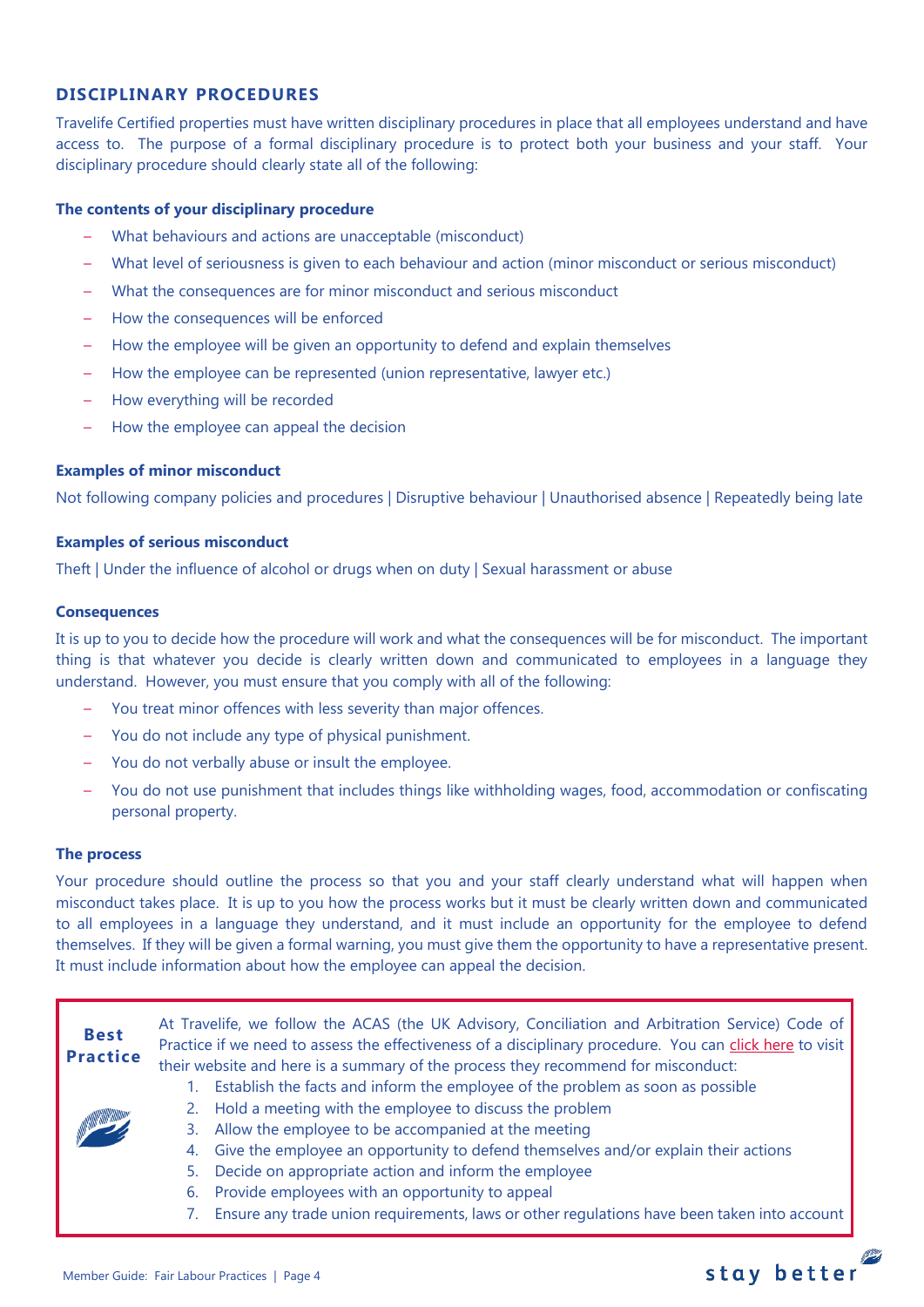# **DISCIPLINARY PROCEDURES**

Travelife Certified properties must have written disciplinary procedures in place that all employees understand and have access to. The purpose of a formal disciplinary procedure is to protect both your business and your staff. Your disciplinary procedure should clearly state all of the following:

## **The contents of your disciplinary procedure**

- What behaviours and actions are unacceptable (misconduct)
- What level of seriousness is given to each behaviour and action (minor misconduct or serious misconduct)
- What the consequences are for minor misconduct and serious misconduct
- How the consequences will be enforced
- How the employee will be given an opportunity to defend and explain themselves
- How the employee can be represented (union representative, lawyer etc.)
- How everything will be recorded
- How the employee can appeal the decision

# **Examples of minor misconduct**

Not following company policies and procedures | Disruptive behaviour | Unauthorised absence | Repeatedly being late

# **Examples of serious misconduct**

Theft | Under the influence of alcohol or drugs when on duty | Sexual harassment or abuse

#### **Consequences**

It is up to you to decide how the procedure will work and what the consequences will be for misconduct. The important thing is that whatever you decide is clearly written down and communicated to employees in a language they understand. However, you must ensure that you comply with all of the following:

- You treat minor offences with less severity than major offences.
- You do not include any type of physical punishment.
- You do not verbally abuse or insult the employee.
- You do not use punishment that includes things like withholding wages, food, accommodation or confiscating personal property.

#### **The process**

Your procedure should outline the process so that you and your staff clearly understand what will happen when misconduct takes place. It is up to you how the process works but it must be clearly written down and communicated to all employees in a language they understand, and it must include an opportunity for the employee to defend themselves. If they will be given a formal warning, you must give them the opportunity to have a representative present. It must include information about how the employee can appeal the decision.

| <b>Best</b><br><b>Practice</b> | At Travelife, we follow the ACAS (the UK Advisory, Conciliation and Arbitration Service) Code of<br>Practice if we need to assess the effectiveness of a disciplinary procedure. You can click here to visit<br>their website and here is a summary of the process they recommend for misconduct: |
|--------------------------------|---------------------------------------------------------------------------------------------------------------------------------------------------------------------------------------------------------------------------------------------------------------------------------------------------|
|                                | Establish the facts and inform the employee of the problem as soon as possible                                                                                                                                                                                                                    |
|                                | Hold a meeting with the employee to discuss the problem                                                                                                                                                                                                                                           |
|                                | Allow the employee to be accompanied at the meeting<br>3.                                                                                                                                                                                                                                         |
|                                | Give the employee an opportunity to defend themselves and/or explain their actions<br>4.                                                                                                                                                                                                          |
|                                | Decide on appropriate action and inform the employee<br>5.                                                                                                                                                                                                                                        |
|                                | Provide employees with an opportunity to appeal<br>6.                                                                                                                                                                                                                                             |
|                                | Ensure any trade union requirements, laws or other regulations have been taken into account                                                                                                                                                                                                       |
|                                |                                                                                                                                                                                                                                                                                                   |

# stay better  $\mathscr{Z}$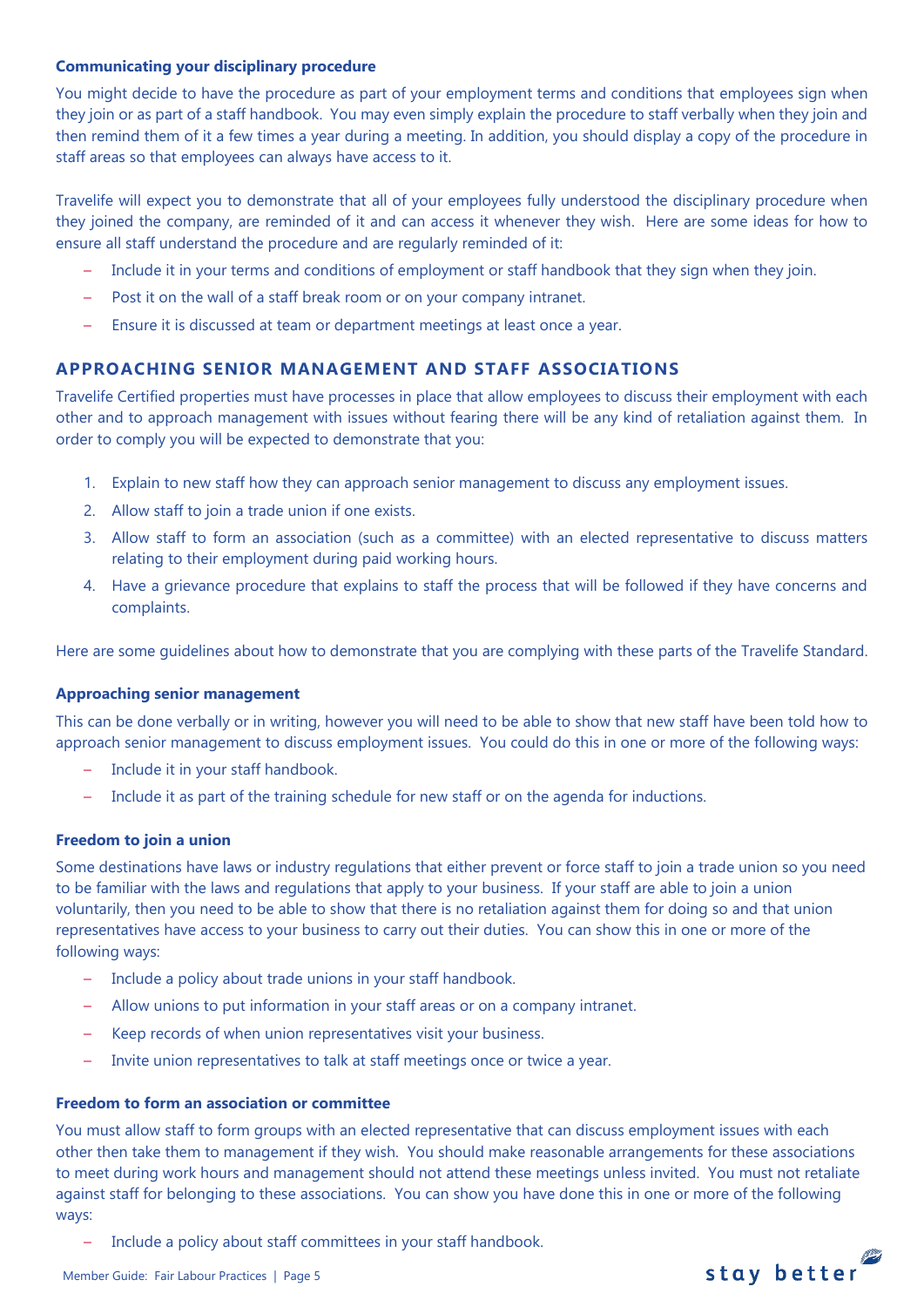#### **Communicating your disciplinary procedure**

You might decide to have the procedure as part of your employment terms and conditions that employees sign when they join or as part of a staff handbook. You may even simply explain the procedure to staff verbally when they join and then remind them of it a few times a year during a meeting. In addition, you should display a copy of the procedure in staff areas so that employees can always have access to it.

Travelife will expect you to demonstrate that all of your employees fully understood the disciplinary procedure when they joined the company, are reminded of it and can access it whenever they wish. Here are some ideas for how to ensure all staff understand the procedure and are regularly reminded of it:

- Include it in your terms and conditions of employment or staff handbook that they sign when they join.
- Post it on the wall of a staff break room or on your company intranet.
- Ensure it is discussed at team or department meetings at least once a year.

# **APPROACHING SENIOR MANAGEMENT AND STAFF ASSOCIATIONS**

Travelife Certified properties must have processes in place that allow employees to discuss their employment with each other and to approach management with issues without fearing there will be any kind of retaliation against them. In order to comply you will be expected to demonstrate that you:

- 1. Explain to new staff how they can approach senior management to discuss any employment issues.
- 2. Allow staff to join a trade union if one exists.
- 3. Allow staff to form an association (such as a committee) with an elected representative to discuss matters relating to their employment during paid working hours.
- 4. Have a grievance procedure that explains to staff the process that will be followed if they have concerns and complaints.

Here are some guidelines about how to demonstrate that you are complying with these parts of the Travelife Standard.

#### **Approaching senior management**

This can be done verbally or in writing, however you will need to be able to show that new staff have been told how to approach senior management to discuss employment issues. You could do this in one or more of the following ways:

- Include it in your staff handbook.
- Include it as part of the training schedule for new staff or on the agenda for inductions.

#### **Freedom to join a union**

Some destinations have laws or industry regulations that either prevent or force staff to join a trade union so you need to be familiar with the laws and regulations that apply to your business. If your staff are able to join a union voluntarily, then you need to be able to show that there is no retaliation against them for doing so and that union representatives have access to your business to carry out their duties. You can show this in one or more of the following ways:

- Include a policy about trade unions in your staff handbook.
- Allow unions to put information in your staff areas or on a company intranet.
- Keep records of when union representatives visit your business.
- Invite union representatives to talk at staff meetings once or twice a year.

#### **Freedom to form an association or committee**

You must allow staff to form groups with an elected representative that can discuss employment issues with each other then take them to management if they wish. You should make reasonable arrangements for these associations to meet during work hours and management should not attend these meetings unless invited. You must not retaliate against staff for belonging to these associations. You can show you have done this in one or more of the following ways:

stay better

– Include a policy about staff committees in your staff handbook.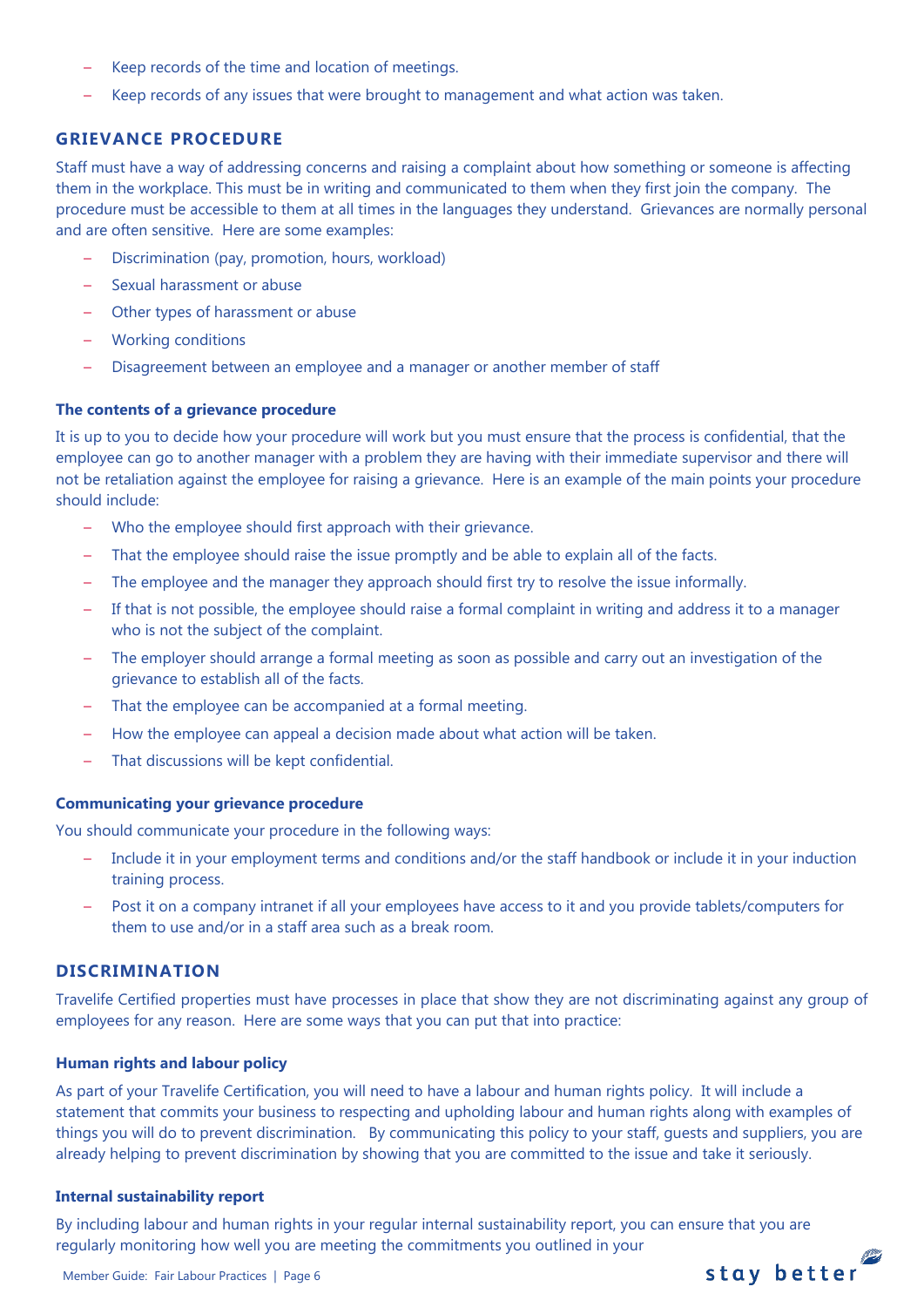- Keep records of the time and location of meetings.
- Keep records of any issues that were brought to management and what action was taken.

# **GRIEVANCE PROCEDURE**

Staff must have a way of addressing concerns and raising a complaint about how something or someone is affecting them in the workplace. This must be in writing and communicated to them when they first join the company. The procedure must be accessible to them at all times in the languages they understand. Grievances are normally personal and are often sensitive. Here are some examples:

- Discrimination (pay, promotion, hours, workload)
- Sexual harassment or abuse
- Other types of harassment or abuse
- Working conditions
- Disagreement between an employee and a manager or another member of staff

#### **The contents of a grievance procedure**

It is up to you to decide how your procedure will work but you must ensure that the process is confidential, that the employee can go to another manager with a problem they are having with their immediate supervisor and there will not be retaliation against the employee for raising a grievance. Here is an example of the main points your procedure should include:

- Who the employee should first approach with their grievance.
- That the employee should raise the issue promptly and be able to explain all of the facts.
- The employee and the manager they approach should first try to resolve the issue informally.
- If that is not possible, the employee should raise a formal complaint in writing and address it to a manager who is not the subject of the complaint.
- The employer should arrange a formal meeting as soon as possible and carry out an investigation of the grievance to establish all of the facts.
- That the employee can be accompanied at a formal meeting.
- How the employee can appeal a decision made about what action will be taken.
- That discussions will be kept confidential.

#### **Communicating your grievance procedure**

You should communicate your procedure in the following ways:

- Include it in your employment terms and conditions and/or the staff handbook or include it in your induction training process.
- Post it on a company intranet if all your employees have access to it and you provide tablets/computers for them to use and/or in a staff area such as a break room.

# **DISCRIMINATION**

Travelife Certified properties must have processes in place that show they are not discriminating against any group of employees for any reason. Here are some ways that you can put that into practice:

#### **Human rights and labour policy**

As part of your Travelife Certification, you will need to have a labour and human rights policy. It will include a statement that commits your business to respecting and upholding labour and human rights along with examples of things you will do to prevent discrimination. By communicating this policy to your staff, guests and suppliers, you are already helping to prevent discrimination by showing that you are committed to the issue and take it seriously.

#### **Internal sustainability report**

By including labour and human rights in your regular internal sustainability report, you can ensure that you are regularly monitoring how well you are meeting the commitments you outlined in your stay better

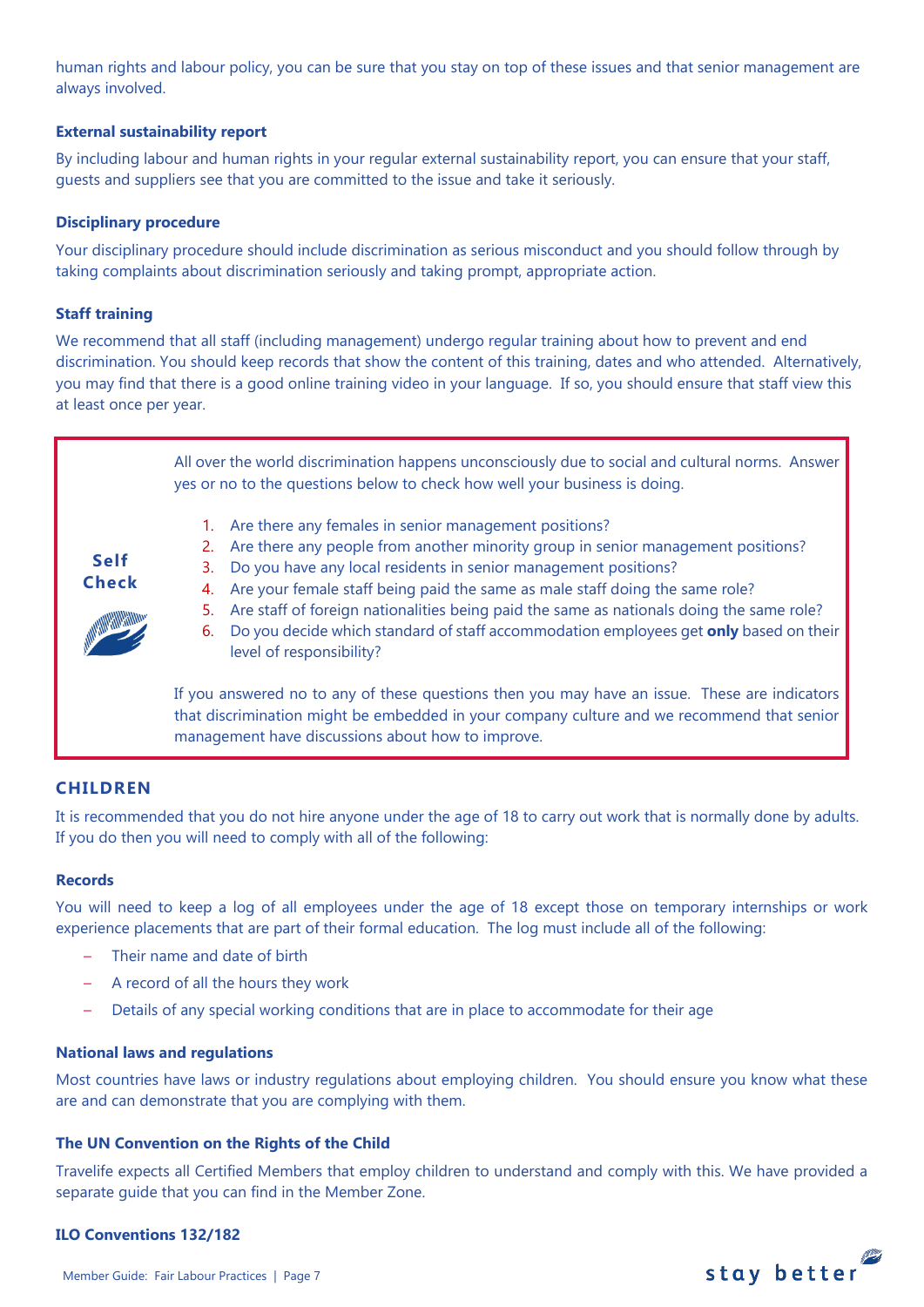human rights and labour policy, you can be sure that you stay on top of these issues and that senior management are always involved.

## **External sustainability report**

By including labour and human rights in your regular external sustainability report, you can ensure that your staff, guests and suppliers see that you are committed to the issue and take it seriously.

#### **Disciplinary procedure**

Your disciplinary procedure should include discrimination as serious misconduct and you should follow through by taking complaints about discrimination seriously and taking prompt, appropriate action.

## **Staff training**

We recommend that all staff (including management) undergo regular training about how to prevent and end discrimination. You should keep records that show the content of this training, dates and who attended. Alternatively, you may find that there is a good online training video in your language. If so, you should ensure that staff view this at least once per year.

> All over the world discrimination happens unconsciously due to social and cultural norms. Answer yes or no to the questions below to check how well your business is doing.

- 1. Are there any females in senior management positions?
- 2. Are there any people from another minority group in senior management positions?
- 3. Do you have any local residents in senior management positions?
- 4. Are your female staff being paid the same as male staff doing the same role?
- 5. Are staff of foreign nationalities being paid the same as nationals doing the same role?
- 6. Do you decide which standard of staff accommodation employees get **only** based on their level of responsibility?

If you answered no to any of these questions then you may have an issue. These are indicators that discrimination might be embedded in your company culture and we recommend that senior management have discussions about how to improve.

# **CHILDREN**

**Self Check**

It is recommended that you do not hire anyone under the age of 18 to carry out work that is normally done by adults. If you do then you will need to comply with all of the following:

#### **Records**

You will need to keep a log of all employees under the age of 18 except those on temporary internships or work experience placements that are part of their formal education. The log must include all of the following:

- Their name and date of birth
- A record of all the hours they work
- Details of any special working conditions that are in place to accommodate for their age

#### **National laws and regulations**

Most countries have laws or industry regulations about employing children. You should ensure you know what these are and can demonstrate that you are complying with them.

#### **The UN Convention on the Rights of the Child**

Travelife expects all Certified Members that employ children to understand and comply with this. We have provided a separate guide that you can find in the Member Zone.

#### **ILO Conventions 132/182**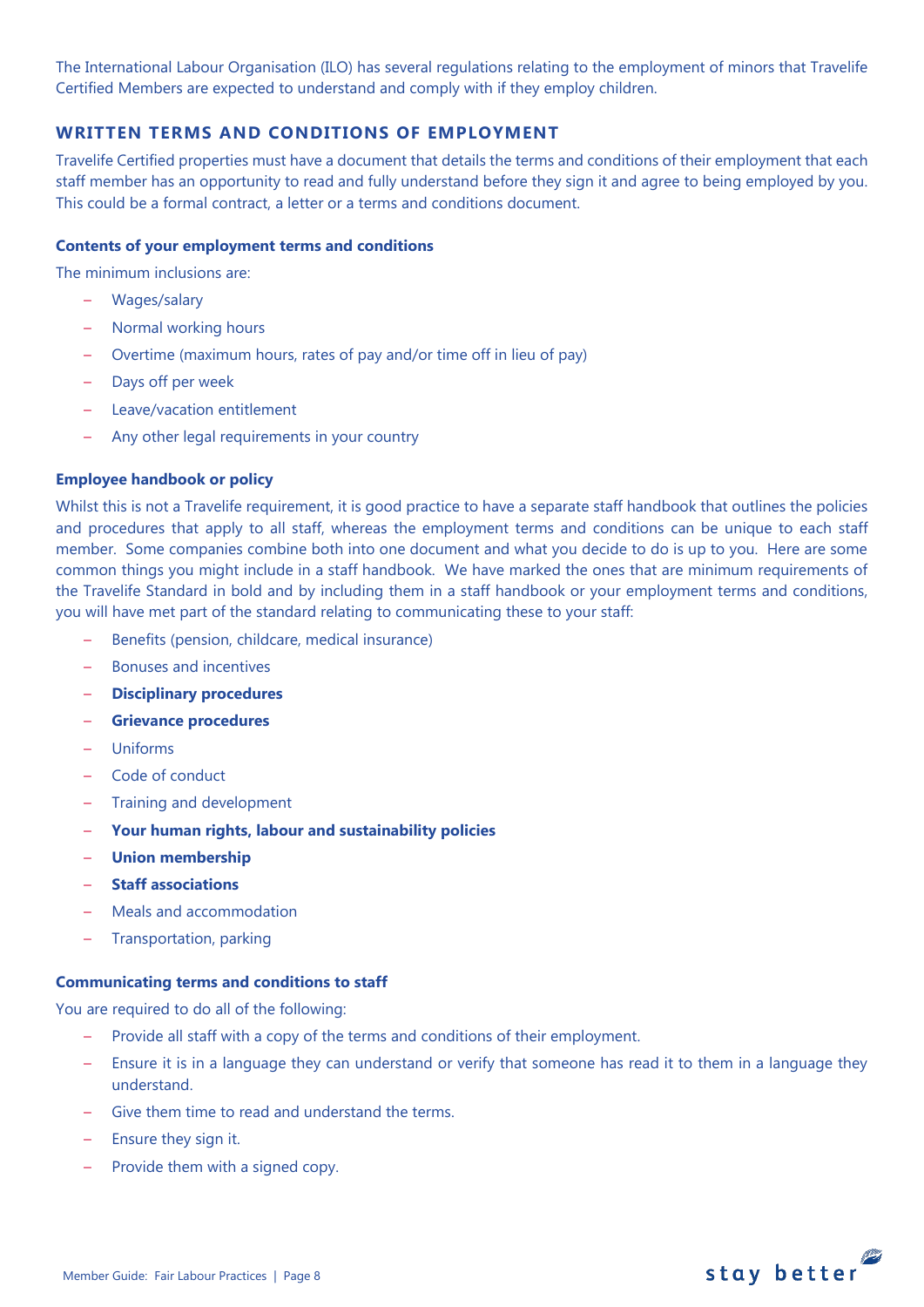The International Labour Organisation (ILO) has several regulations relating to the employment of minors that Travelife Certified Members are expected to understand and comply with if they employ children.

# **WRITTEN TERMS AND CONDITIONS OF EMPLOYMENT**

Travelife Certified properties must have a document that details the terms and conditions of their employment that each staff member has an opportunity to read and fully understand before they sign it and agree to being employed by you. This could be a formal contract, a letter or a terms and conditions document.

#### **Contents of your employment terms and conditions**

The minimum inclusions are:

- Wages/salary
- Normal working hours
- Overtime (maximum hours, rates of pay and/or time off in lieu of pay)
- Days off per week
- Leave/vacation entitlement
- Any other legal requirements in your country

#### **Employee handbook or policy**

Whilst this is not a Travelife requirement, it is good practice to have a separate staff handbook that outlines the policies and procedures that apply to all staff, whereas the employment terms and conditions can be unique to each staff member. Some companies combine both into one document and what you decide to do is up to you. Here are some common things you might include in a staff handbook. We have marked the ones that are minimum requirements of the Travelife Standard in bold and by including them in a staff handbook or your employment terms and conditions, you will have met part of the standard relating to communicating these to your staff:

- Benefits (pension, childcare, medical insurance)
- Bonuses and incentives
- **Disciplinary procedures**
- **Grievance procedures**
- Uniforms
- Code of conduct
- Training and development
- **Your human rights, labour and sustainability policies**
- **Union membership**
- **Staff associations**
- Meals and accommodation
- Transportation, parking

#### **Communicating terms and conditions to staff**

You are required to do all of the following:

- Provide all staff with a copy of the terms and conditions of their employment.
- Ensure it is in a language they can understand or verify that someone has read it to them in a language they understand.
- Give them time to read and understand the terms.
- Ensure they sign it.
- Provide them with a signed copy.